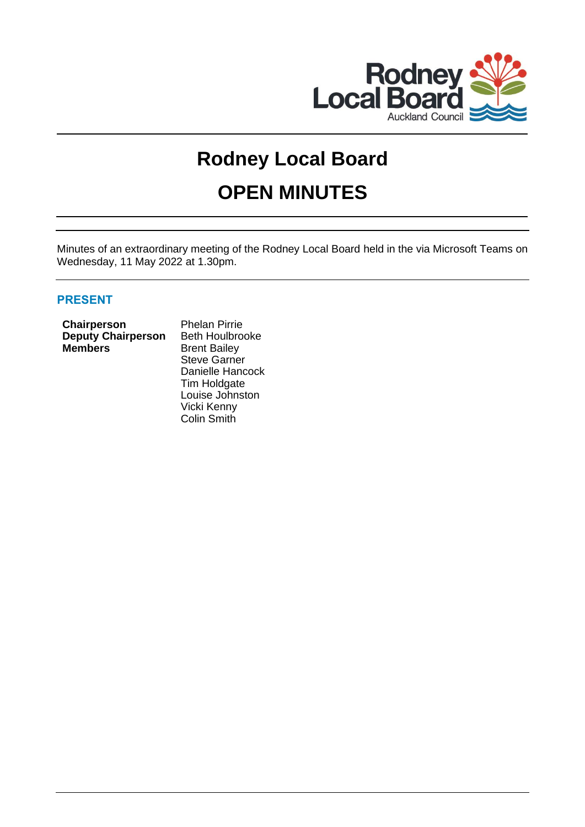

# **Rodney Local Board**

# **OPEN MINUTES**

Minutes of an extraordinary meeting of the Rodney Local Board held in the via Microsoft Teams on Wednesday, 11 May 2022 at 1.30pm.

# **PRESENT**

| Chairperson               |
|---------------------------|
| <b>Deputy Chairperson</b> |
| <b>Members</b>            |

**Phelan Pirrie Beth Houlbrooke Brent Bailey** Steve Garner Danielle Hancock Tim Holdgate Louise Johnston Vicki Kenny Colin Smith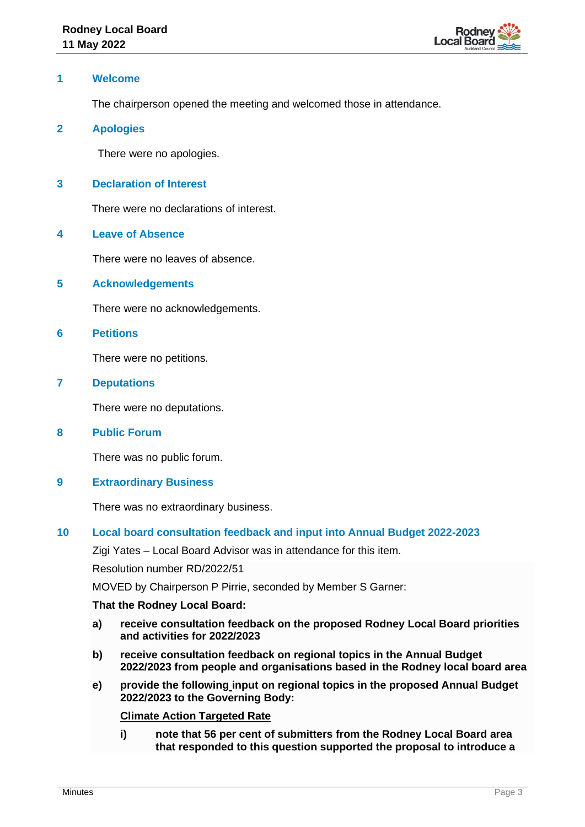

## **1 Welcome**

The chairperson opened the meeting and welcomed those in attendance.

### **2 Apologies**

There were no apologies.

# **3 Declaration of Interest**

There were no declarations of interest.

### **4 Leave of Absence**

There were no leaves of absence.

#### **5 Acknowledgements**

There were no acknowledgements.

#### **6 Petitions**

There were no petitions.

# **7 Deputations**

There were no deputations.

#### **8 Public Forum**

There was no public forum.

# **9 Extraordinary Business**

There was no extraordinary business.

# **10 Local board consultation feedback and input into Annual Budget 2022-2023**

Zigi Yates – Local Board Advisor was in attendance for this item.

Resolution number RD/2022/51

MOVED by Chairperson P Pirrie, seconded by Member S Garner:

#### **That the Rodney Local Board:**

- **a) receive consultation feedback on the proposed Rodney Local Board priorities and activities for 2022/2023**
- **b) receive consultation feedback on regional topics in the Annual Budget 2022/2023 from people and organisations based in the Rodney local board area**
- **e) provide the following input on regional topics in the proposed Annual Budget 2022/2023 to the Governing Body:**

#### **Climate Action Targeted Rate**

**i) note that 56 per cent of submitters from the Rodney Local Board area that responded to this question supported the proposal to introduce a**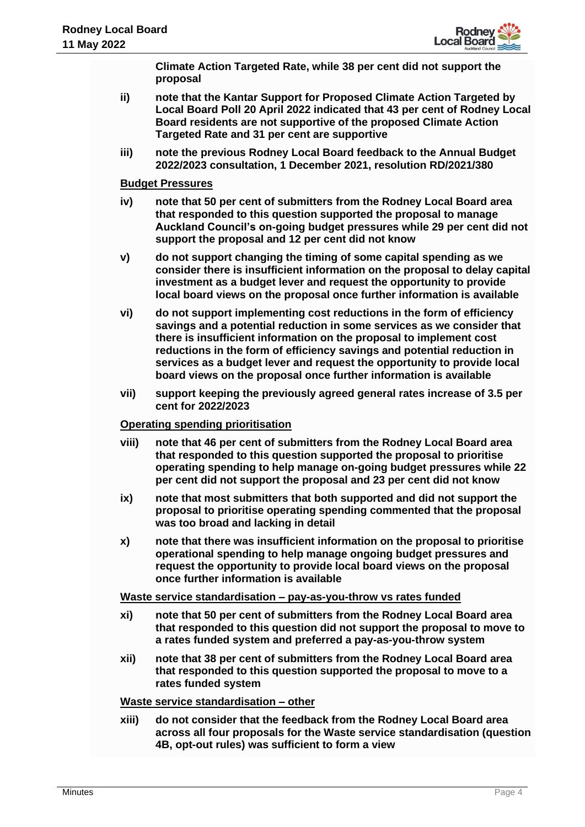

**Climate Action Targeted Rate, while 38 per cent did not support the proposal**

- **ii) note that the Kantar Support for Proposed Climate Action Targeted by Local Board Poll 20 April 2022 indicated that 43 per cent of Rodney Local Board residents are not supportive of the proposed Climate Action Targeted Rate and 31 per cent are supportive**
- **iii) note the previous Rodney Local Board feedback to the Annual Budget 2022/2023 consultation, 1 December 2021, resolution RD/2021/380**

### **Budget Pressures**

- **iv) note that 50 per cent of submitters from the Rodney Local Board area that responded to this question supported the proposal to manage Auckland Council's on-going budget pressures while 29 per cent did not support the proposal and 12 per cent did not know**
- **v) do not support changing the timing of some capital spending as we consider there is insufficient information on the proposal to delay capital investment as a budget lever and request the opportunity to provide local board views on the proposal once further information is available**
- **vi) do not support implementing cost reductions in the form of efficiency savings and a potential reduction in some services as we consider that there is insufficient information on the proposal to implement cost reductions in the form of efficiency savings and potential reduction in services as a budget lever and request the opportunity to provide local board views on the proposal once further information is available**
- **vii) support keeping the previously agreed general rates increase of 3.5 per cent for 2022/2023**

#### **Operating spending prioritisation**

- **viii) note that 46 per cent of submitters from the Rodney Local Board area that responded to this question supported the proposal to prioritise operating spending to help manage on-going budget pressures while 22 per cent did not support the proposal and 23 per cent did not know**
- **ix) note that most submitters that both supported and did not support the proposal to prioritise operating spending commented that the proposal was too broad and lacking in detail**
- **x) note that there was insufficient information on the proposal to prioritise operational spending to help manage ongoing budget pressures and request the opportunity to provide local board views on the proposal once further information is available**

## **Waste service standardisation – pay-as-you-throw vs rates funded**

- **xi) note that 50 per cent of submitters from the Rodney Local Board area that responded to this question did not support the proposal to move to a rates funded system and preferred a pay-as-you-throw system**
- **xii) note that 38 per cent of submitters from the Rodney Local Board area that responded to this question supported the proposal to move to a rates funded system**

#### **Waste service standardisation – other**

**xiii) do not consider that the feedback from the Rodney Local Board area across all four proposals for the Waste service standardisation (question 4B, opt-out rules) was sufficient to form a view**